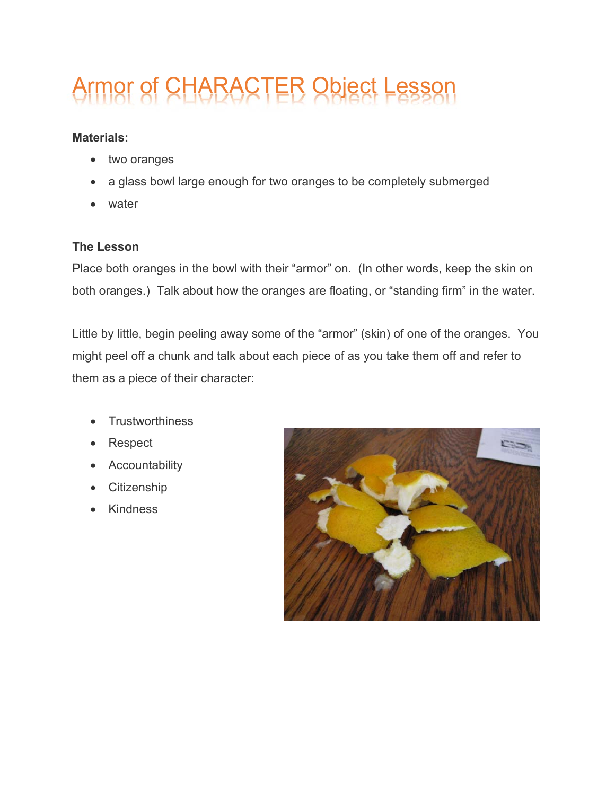## Armor of CHARACTER Object Lesso

## **Materials:**

- two oranges
- a glass bowl large enough for two oranges to be completely submerged
- water

## **The Lesson**

Place both oranges in the bowl with their "armor" on. (In other words, keep the skin on both oranges.) Talk about how the oranges are floating, or "standing firm" in the water.

Little by little, begin peeling away some of the "armor" (skin) of one of the oranges. You might peel off a chunk and talk about each piece of as you take them off and refer to them as a piece of their character:

- **Trustworthiness**
- Respect
- Accountability
- Citizenship
- **Kindness**